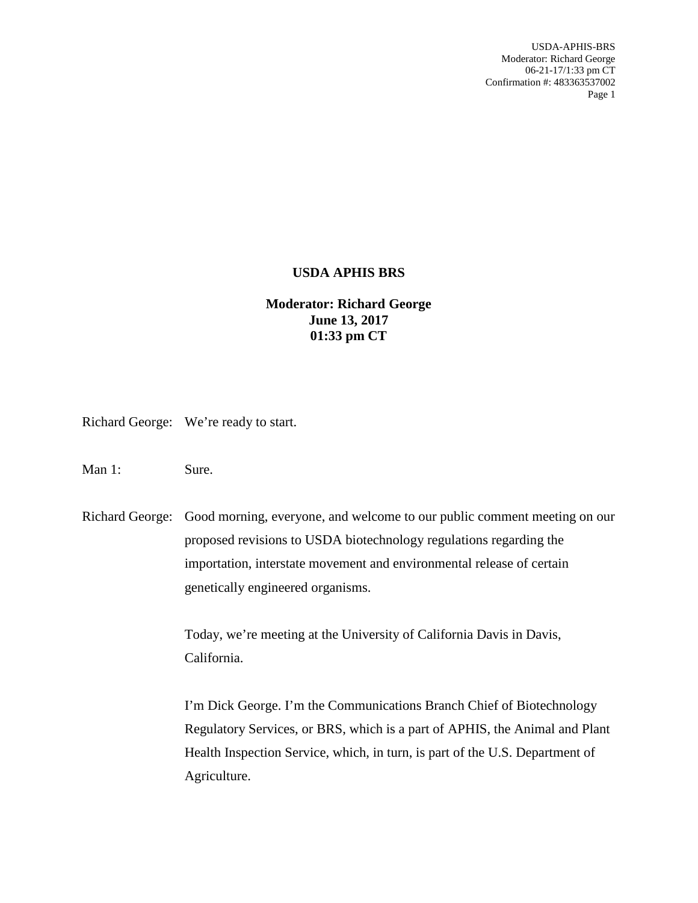## **USDA APHIS BRS**

## **Moderator: Richard George June 13, 2017 01:33 pm CT**

Richard George: We're ready to start.

Man 1: Sure.

Richard George: Good morning, everyone, and welcome to our public comment meeting on our proposed revisions to USDA biotechnology regulations regarding the importation, interstate movement and environmental release of certain genetically engineered organisms.

> Today, we're meeting at the University of California Davis in Davis, California.

I'm Dick George. I'm the Communications Branch Chief of Biotechnology Regulatory Services, or BRS, which is a part of APHIS, the Animal and Plant Health Inspection Service, which, in turn, is part of the U.S. Department of Agriculture.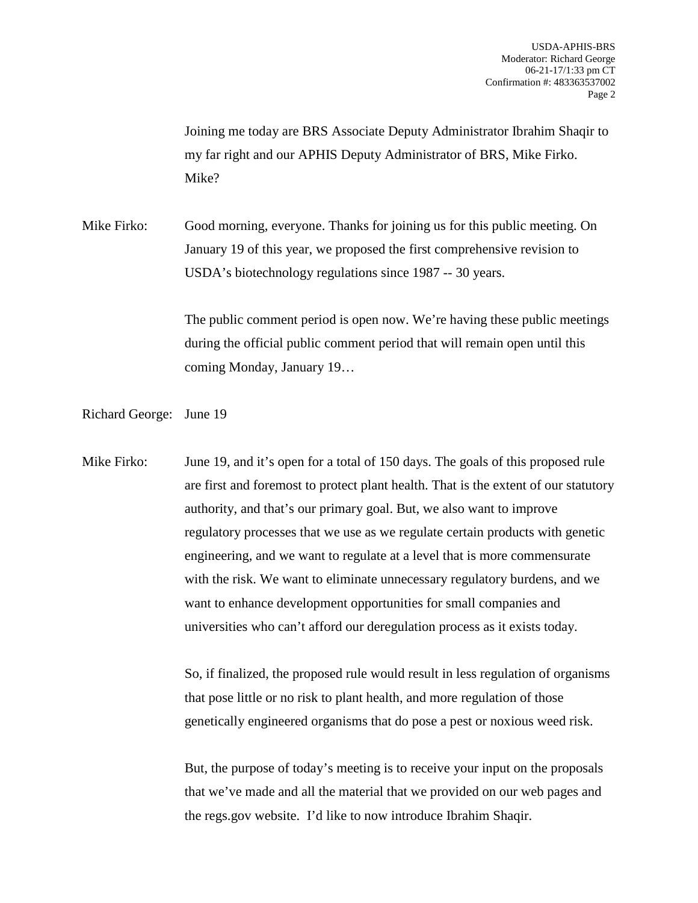Joining me today are BRS Associate Deputy Administrator Ibrahim Shaqir to my far right and our APHIS Deputy Administrator of BRS, Mike Firko. Mike?

Mike Firko: Good morning, everyone. Thanks for joining us for this public meeting. On January 19 of this year, we proposed the first comprehensive revision to USDA's biotechnology regulations since 1987 -- 30 years.

> The public comment period is open now. We're having these public meetings during the official public comment period that will remain open until this coming Monday, January 19…

Richard George: June 19

Mike Firko: June 19, and it's open for a total of 150 days. The goals of this proposed rule are first and foremost to protect plant health. That is the extent of our statutory authority, and that's our primary goal. But, we also want to improve regulatory processes that we use as we regulate certain products with genetic engineering, and we want to regulate at a level that is more commensurate with the risk. We want to eliminate unnecessary regulatory burdens, and we want to enhance development opportunities for small companies and universities who can't afford our deregulation process as it exists today.

> So, if finalized, the proposed rule would result in less regulation of organisms that pose little or no risk to plant health, and more regulation of those genetically engineered organisms that do pose a pest or noxious weed risk.

But, the purpose of today's meeting is to receive your input on the proposals that we've made and all the material that we provided on our web pages and the regs.gov website. I'd like to now introduce Ibrahim Shaqir.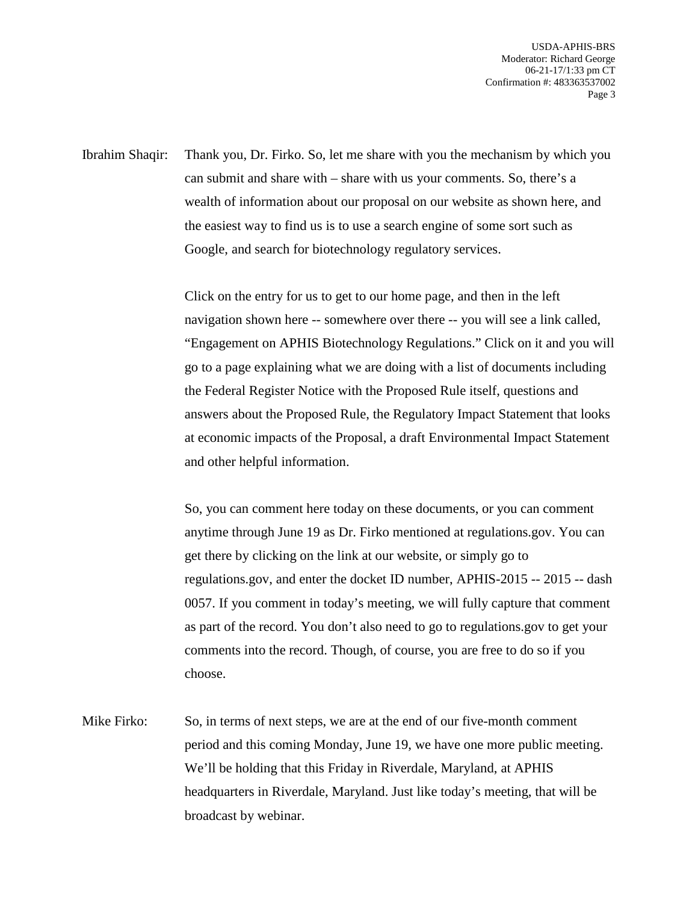Ibrahim Shaqir: Thank you, Dr. Firko. So, let me share with you the mechanism by which you can submit and share with – share with us your comments. So, there's a wealth of information about our proposal on our website as shown here, and the easiest way to find us is to use a search engine of some sort such as Google, and search for biotechnology regulatory services.

> Click on the entry for us to get to our home page, and then in the left navigation shown here -- somewhere over there -- you will see a link called, "Engagement on APHIS Biotechnology Regulations." Click on it and you will go to a page explaining what we are doing with a list of documents including the Federal Register Notice with the Proposed Rule itself, questions and answers about the Proposed Rule, the Regulatory Impact Statement that looks at economic impacts of the Proposal, a draft Environmental Impact Statement and other helpful information.

> So, you can comment here today on these documents, or you can comment anytime through June 19 as Dr. Firko mentioned at regulations.gov. You can get there by clicking on the link at our website, or simply go to regulations.gov, and enter the docket ID number, APHIS-2015 -- 2015 -- dash 0057. If you comment in today's meeting, we will fully capture that comment as part of the record. You don't also need to go to regulations.gov to get your comments into the record. Though, of course, you are free to do so if you choose.

Mike Firko: So, in terms of next steps, we are at the end of our five-month comment period and this coming Monday, June 19, we have one more public meeting. We'll be holding that this Friday in Riverdale, Maryland, at APHIS headquarters in Riverdale, Maryland. Just like today's meeting, that will be broadcast by webinar.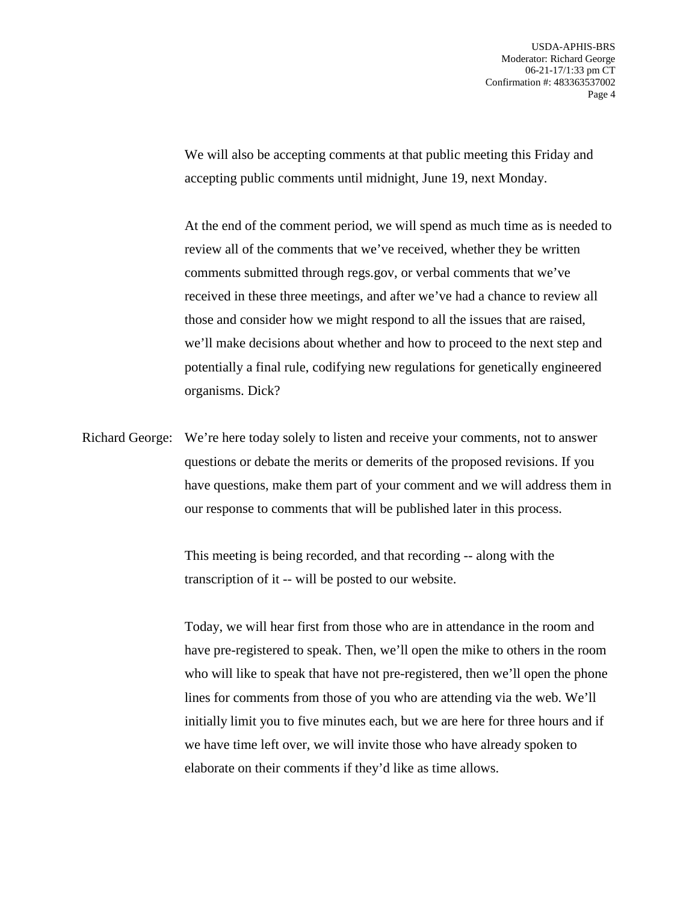We will also be accepting comments at that public meeting this Friday and accepting public comments until midnight, June 19, next Monday.

At the end of the comment period, we will spend as much time as is needed to review all of the comments that we've received, whether they be written comments submitted through regs.gov, or verbal comments that we've received in these three meetings, and after we've had a chance to review all those and consider how we might respond to all the issues that are raised, we'll make decisions about whether and how to proceed to the next step and potentially a final rule, codifying new regulations for genetically engineered organisms. Dick?

Richard George: We're here today solely to listen and receive your comments, not to answer questions or debate the merits or demerits of the proposed revisions. If you have questions, make them part of your comment and we will address them in our response to comments that will be published later in this process.

> This meeting is being recorded, and that recording -- along with the transcription of it -- will be posted to our website.

Today, we will hear first from those who are in attendance in the room and have pre-registered to speak. Then, we'll open the mike to others in the room who will like to speak that have not pre-registered, then we'll open the phone lines for comments from those of you who are attending via the web. We'll initially limit you to five minutes each, but we are here for three hours and if we have time left over, we will invite those who have already spoken to elaborate on their comments if they'd like as time allows.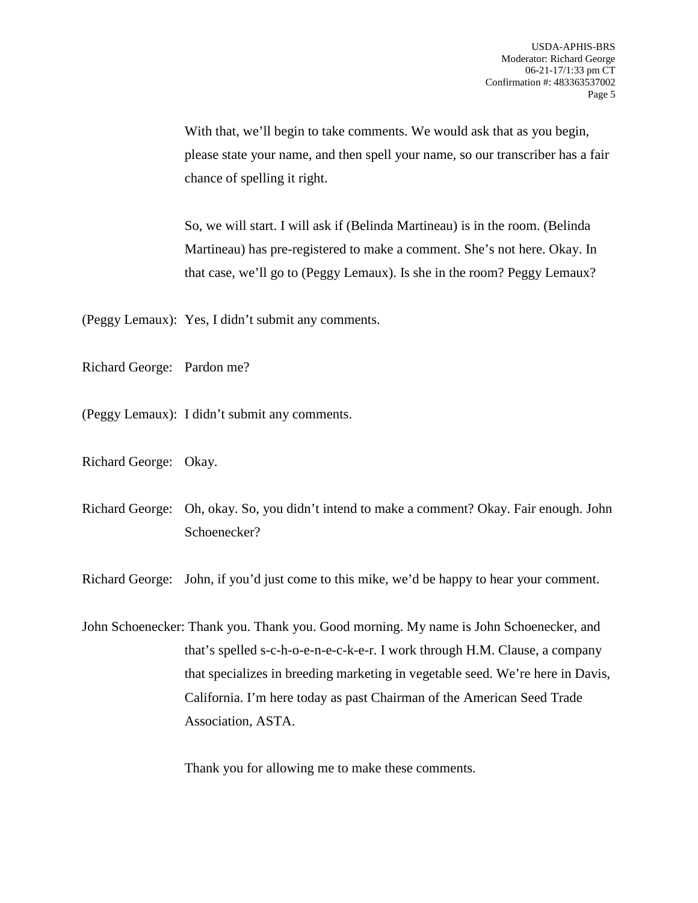With that, we'll begin to take comments. We would ask that as you begin, please state your name, and then spell your name, so our transcriber has a fair chance of spelling it right.

So, we will start. I will ask if (Belinda Martineau) is in the room. (Belinda Martineau) has pre-registered to make a comment. She's not here. Okay. In that case, we'll go to (Peggy Lemaux). Is she in the room? Peggy Lemaux?

(Peggy Lemaux): Yes, I didn't submit any comments.

Richard George: Pardon me?

(Peggy Lemaux): I didn't submit any comments.

Richard George: Okay.

Richard George: Oh, okay. So, you didn't intend to make a comment? Okay. Fair enough. John Schoenecker?

Richard George: John, if you'd just come to this mike, we'd be happy to hear your comment.

John Schoenecker: Thank you. Thank you. Good morning. My name is John Schoenecker, and that's spelled s-c-h-o-e-n-e-c-k-e-r. I work through H.M. Clause, a company that specializes in breeding marketing in vegetable seed. We're here in Davis, California. I'm here today as past Chairman of the American Seed Trade Association, ASTA.

Thank you for allowing me to make these comments.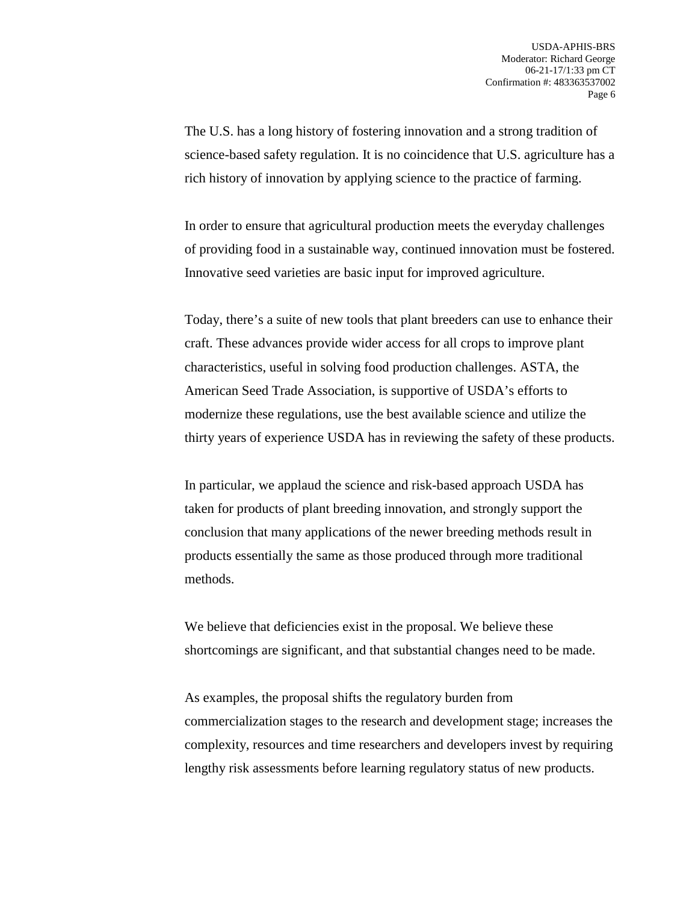The U.S. has a long history of fostering innovation and a strong tradition of science-based safety regulation. It is no coincidence that U.S. agriculture has a rich history of innovation by applying science to the practice of farming.

In order to ensure that agricultural production meets the everyday challenges of providing food in a sustainable way, continued innovation must be fostered. Innovative seed varieties are basic input for improved agriculture.

Today, there's a suite of new tools that plant breeders can use to enhance their craft. These advances provide wider access for all crops to improve plant characteristics, useful in solving food production challenges. ASTA, the American Seed Trade Association, is supportive of USDA's efforts to modernize these regulations, use the best available science and utilize the thirty years of experience USDA has in reviewing the safety of these products.

In particular, we applaud the science and risk-based approach USDA has taken for products of plant breeding innovation, and strongly support the conclusion that many applications of the newer breeding methods result in products essentially the same as those produced through more traditional methods.

We believe that deficiencies exist in the proposal. We believe these shortcomings are significant, and that substantial changes need to be made.

As examples, the proposal shifts the regulatory burden from commercialization stages to the research and development stage; increases the complexity, resources and time researchers and developers invest by requiring lengthy risk assessments before learning regulatory status of new products.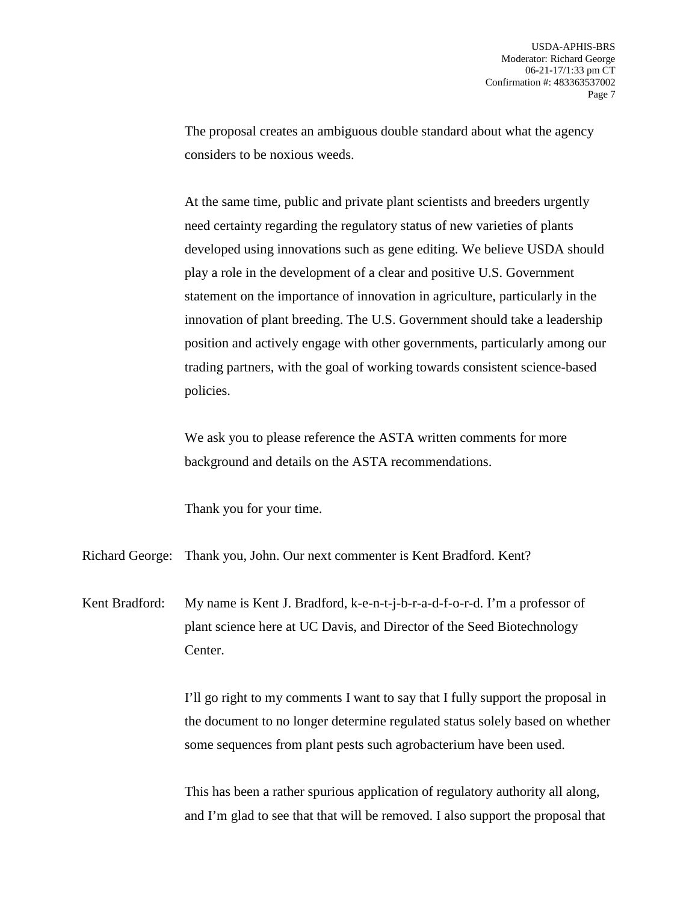The proposal creates an ambiguous double standard about what the agency considers to be noxious weeds.

At the same time, public and private plant scientists and breeders urgently need certainty regarding the regulatory status of new varieties of plants developed using innovations such as gene editing. We believe USDA should play a role in the development of a clear and positive U.S. Government statement on the importance of innovation in agriculture, particularly in the innovation of plant breeding. The U.S. Government should take a leadership position and actively engage with other governments, particularly among our trading partners, with the goal of working towards consistent science-based policies.

We ask you to please reference the ASTA written comments for more background and details on the ASTA recommendations.

Thank you for your time.

Richard George: Thank you, John. Our next commenter is Kent Bradford. Kent?

Kent Bradford: My name is Kent J. Bradford, k-e-n-t-j-b-r-a-d-f-o-r-d. I'm a professor of plant science here at UC Davis, and Director of the Seed Biotechnology Center.

> I'll go right to my comments I want to say that I fully support the proposal in the document to no longer determine regulated status solely based on whether some sequences from plant pests such agrobacterium have been used.

This has been a rather spurious application of regulatory authority all along, and I'm glad to see that that will be removed. I also support the proposal that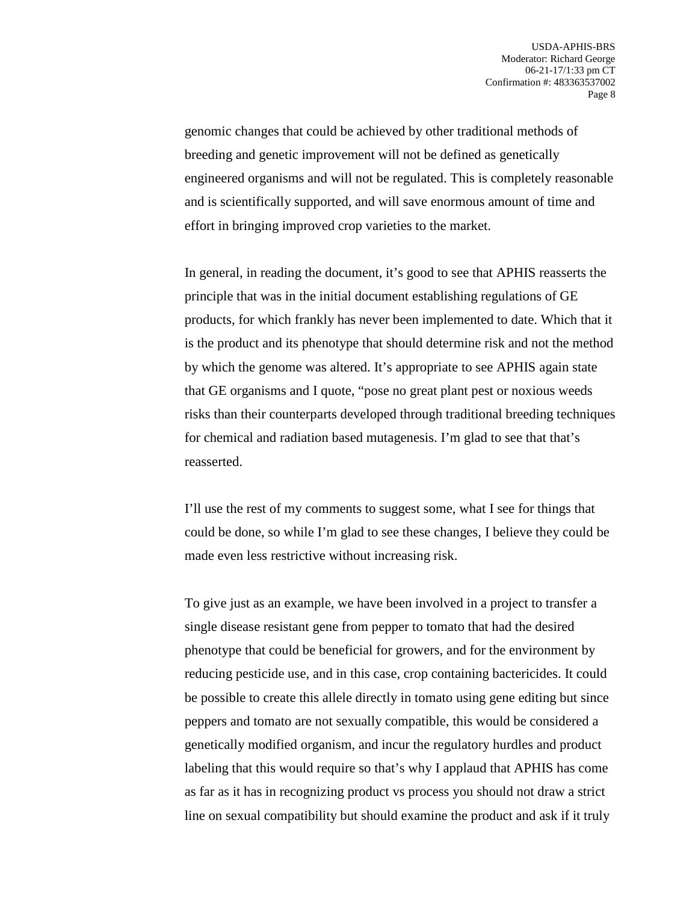genomic changes that could be achieved by other traditional methods of breeding and genetic improvement will not be defined as genetically engineered organisms and will not be regulated. This is completely reasonable and is scientifically supported, and will save enormous amount of time and effort in bringing improved crop varieties to the market.

In general, in reading the document, it's good to see that APHIS reasserts the principle that was in the initial document establishing regulations of GE products, for which frankly has never been implemented to date. Which that it is the product and its phenotype that should determine risk and not the method by which the genome was altered. It's appropriate to see APHIS again state that GE organisms and I quote, "pose no great plant pest or noxious weeds risks than their counterparts developed through traditional breeding techniques for chemical and radiation based mutagenesis. I'm glad to see that that's reasserted.

I'll use the rest of my comments to suggest some, what I see for things that could be done, so while I'm glad to see these changes, I believe they could be made even less restrictive without increasing risk.

To give just as an example, we have been involved in a project to transfer a single disease resistant gene from pepper to tomato that had the desired phenotype that could be beneficial for growers, and for the environment by reducing pesticide use, and in this case, crop containing bactericides. It could be possible to create this allele directly in tomato using gene editing but since peppers and tomato are not sexually compatible, this would be considered a genetically modified organism, and incur the regulatory hurdles and product labeling that this would require so that's why I applaud that APHIS has come as far as it has in recognizing product vs process you should not draw a strict line on sexual compatibility but should examine the product and ask if it truly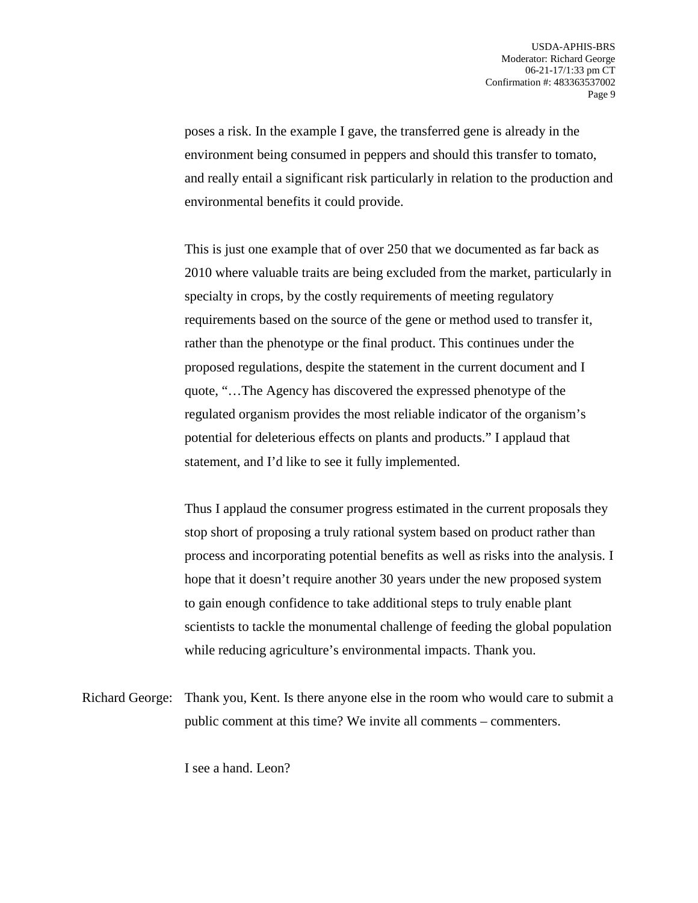poses a risk. In the example I gave, the transferred gene is already in the environment being consumed in peppers and should this transfer to tomato, and really entail a significant risk particularly in relation to the production and environmental benefits it could provide.

This is just one example that of over 250 that we documented as far back as 2010 where valuable traits are being excluded from the market, particularly in specialty in crops, by the costly requirements of meeting regulatory requirements based on the source of the gene or method used to transfer it, rather than the phenotype or the final product. This continues under the proposed regulations, despite the statement in the current document and I quote, "…The Agency has discovered the expressed phenotype of the regulated organism provides the most reliable indicator of the organism's potential for deleterious effects on plants and products." I applaud that statement, and I'd like to see it fully implemented.

Thus I applaud the consumer progress estimated in the current proposals they stop short of proposing a truly rational system based on product rather than process and incorporating potential benefits as well as risks into the analysis. I hope that it doesn't require another 30 years under the new proposed system to gain enough confidence to take additional steps to truly enable plant scientists to tackle the monumental challenge of feeding the global population while reducing agriculture's environmental impacts. Thank you.

Richard George: Thank you, Kent. Is there anyone else in the room who would care to submit a public comment at this time? We invite all comments – commenters.

I see a hand. Leon?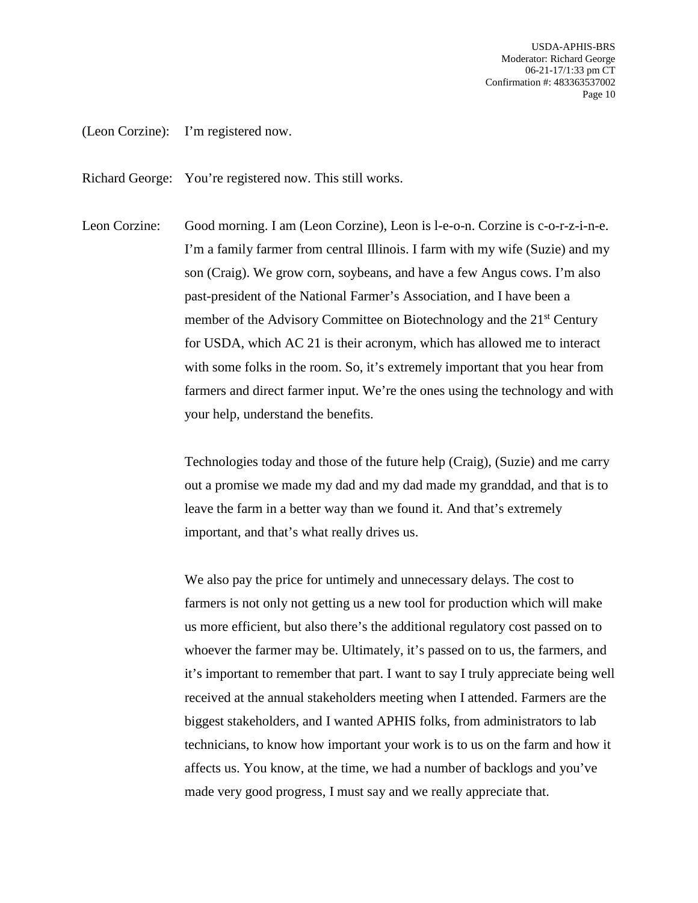(Leon Corzine): I'm registered now.

Richard George: You're registered now. This still works.

Leon Corzine: Good morning. I am (Leon Corzine), Leon is l-e-o-n. Corzine is c-o-r-z-i-n-e. I'm a family farmer from central Illinois. I farm with my wife (Suzie) and my son (Craig). We grow corn, soybeans, and have a few Angus cows. I'm also past-president of the National Farmer's Association, and I have been a member of the Advisory Committee on Biotechnology and the 21<sup>st</sup> Century for USDA, which AC 21 is their acronym, which has allowed me to interact with some folks in the room. So, it's extremely important that you hear from farmers and direct farmer input. We're the ones using the technology and with your help, understand the benefits.

> Technologies today and those of the future help (Craig), (Suzie) and me carry out a promise we made my dad and my dad made my granddad, and that is to leave the farm in a better way than we found it. And that's extremely important, and that's what really drives us.

> We also pay the price for untimely and unnecessary delays. The cost to farmers is not only not getting us a new tool for production which will make us more efficient, but also there's the additional regulatory cost passed on to whoever the farmer may be. Ultimately, it's passed on to us, the farmers, and it's important to remember that part. I want to say I truly appreciate being well received at the annual stakeholders meeting when I attended. Farmers are the biggest stakeholders, and I wanted APHIS folks, from administrators to lab technicians, to know how important your work is to us on the farm and how it affects us. You know, at the time, we had a number of backlogs and you've made very good progress, I must say and we really appreciate that.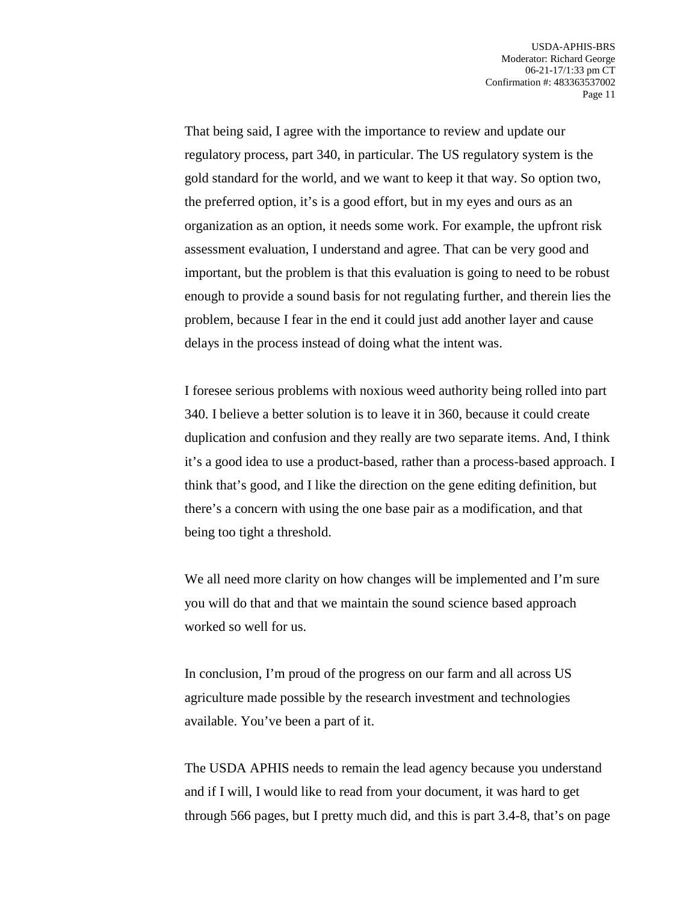That being said, I agree with the importance to review and update our regulatory process, part 340, in particular. The US regulatory system is the gold standard for the world, and we want to keep it that way. So option two, the preferred option, it's is a good effort, but in my eyes and ours as an organization as an option, it needs some work. For example, the upfront risk assessment evaluation, I understand and agree. That can be very good and important, but the problem is that this evaluation is going to need to be robust enough to provide a sound basis for not regulating further, and therein lies the problem, because I fear in the end it could just add another layer and cause delays in the process instead of doing what the intent was.

I foresee serious problems with noxious weed authority being rolled into part 340. I believe a better solution is to leave it in 360, because it could create duplication and confusion and they really are two separate items. And, I think it's a good idea to use a product-based, rather than a process-based approach. I think that's good, and I like the direction on the gene editing definition, but there's a concern with using the one base pair as a modification, and that being too tight a threshold.

We all need more clarity on how changes will be implemented and I'm sure you will do that and that we maintain the sound science based approach worked so well for us.

In conclusion, I'm proud of the progress on our farm and all across US agriculture made possible by the research investment and technologies available. You've been a part of it.

The USDA APHIS needs to remain the lead agency because you understand and if I will, I would like to read from your document, it was hard to get through 566 pages, but I pretty much did, and this is part 3.4-8, that's on page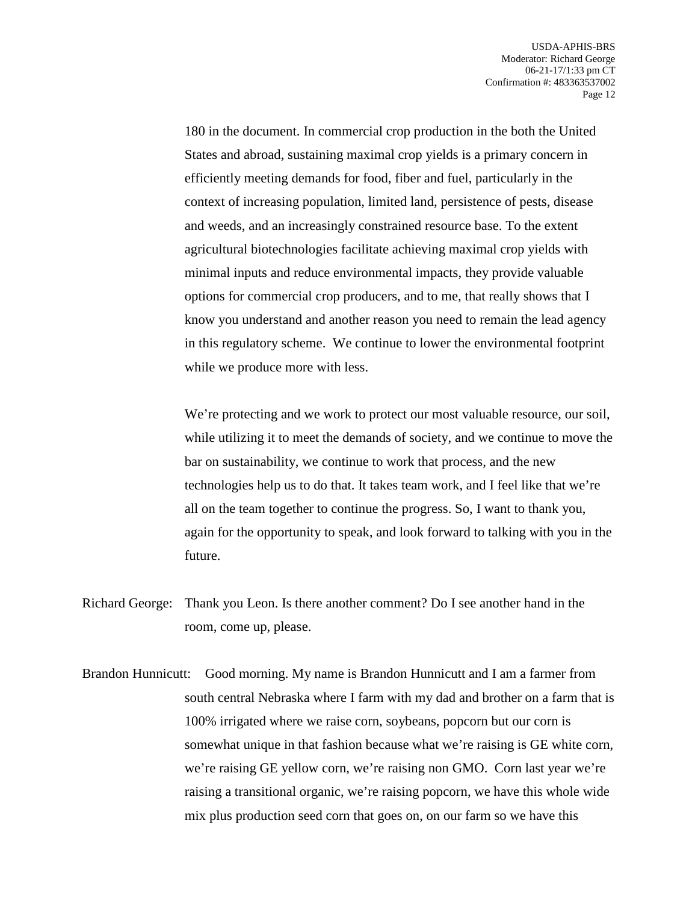180 in the document. In commercial crop production in the both the United States and abroad, sustaining maximal crop yields is a primary concern in efficiently meeting demands for food, fiber and fuel, particularly in the context of increasing population, limited land, persistence of pests, disease and weeds, and an increasingly constrained resource base. To the extent agricultural biotechnologies facilitate achieving maximal crop yields with minimal inputs and reduce environmental impacts, they provide valuable options for commercial crop producers, and to me, that really shows that I know you understand and another reason you need to remain the lead agency in this regulatory scheme. We continue to lower the environmental footprint while we produce more with less.

We're protecting and we work to protect our most valuable resource, our soil, while utilizing it to meet the demands of society, and we continue to move the bar on sustainability, we continue to work that process, and the new technologies help us to do that. It takes team work, and I feel like that we're all on the team together to continue the progress. So, I want to thank you, again for the opportunity to speak, and look forward to talking with you in the future.

- Richard George: Thank you Leon. Is there another comment? Do I see another hand in the room, come up, please.
- Brandon Hunnicutt: Good morning. My name is Brandon Hunnicutt and I am a farmer from south central Nebraska where I farm with my dad and brother on a farm that is 100% irrigated where we raise corn, soybeans, popcorn but our corn is somewhat unique in that fashion because what we're raising is GE white corn, we're raising GE yellow corn, we're raising non GMO. Corn last year we're raising a transitional organic, we're raising popcorn, we have this whole wide mix plus production seed corn that goes on, on our farm so we have this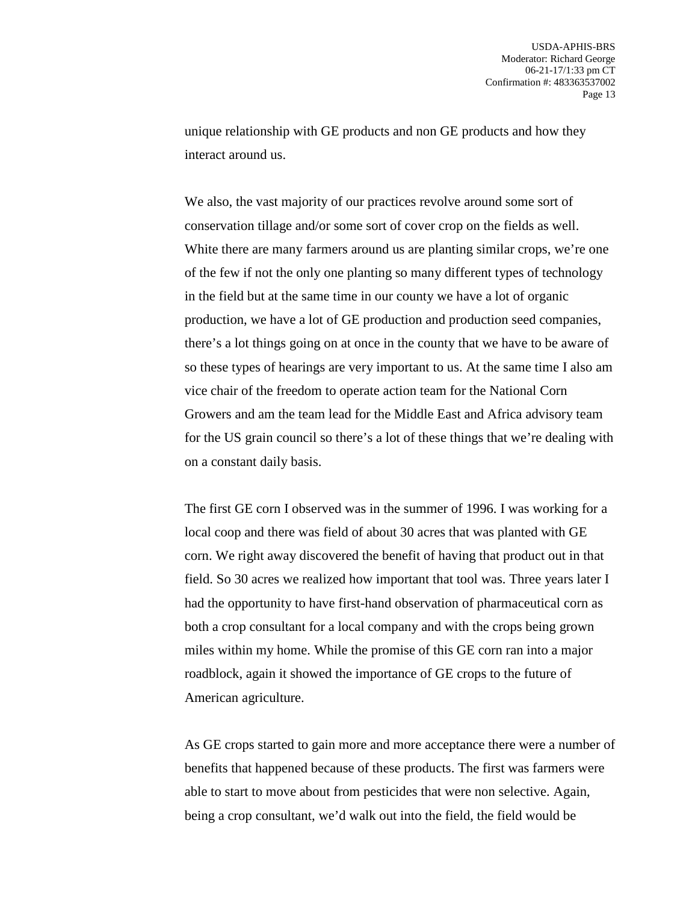unique relationship with GE products and non GE products and how they interact around us.

We also, the vast majority of our practices revolve around some sort of conservation tillage and/or some sort of cover crop on the fields as well. White there are many farmers around us are planting similar crops, we're one of the few if not the only one planting so many different types of technology in the field but at the same time in our county we have a lot of organic production, we have a lot of GE production and production seed companies, there's a lot things going on at once in the county that we have to be aware of so these types of hearings are very important to us. At the same time I also am vice chair of the freedom to operate action team for the National Corn Growers and am the team lead for the Middle East and Africa advisory team for the US grain council so there's a lot of these things that we're dealing with on a constant daily basis.

The first GE corn I observed was in the summer of 1996. I was working for a local coop and there was field of about 30 acres that was planted with GE corn. We right away discovered the benefit of having that product out in that field. So 30 acres we realized how important that tool was. Three years later I had the opportunity to have first-hand observation of pharmaceutical corn as both a crop consultant for a local company and with the crops being grown miles within my home. While the promise of this GE corn ran into a major roadblock, again it showed the importance of GE crops to the future of American agriculture.

As GE crops started to gain more and more acceptance there were a number of benefits that happened because of these products. The first was farmers were able to start to move about from pesticides that were non selective. Again, being a crop consultant, we'd walk out into the field, the field would be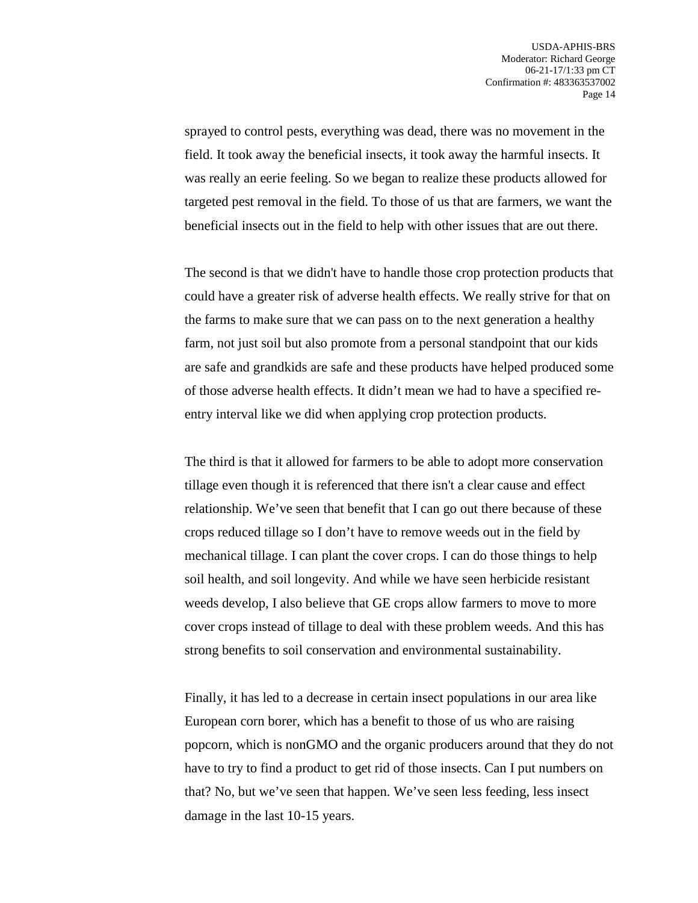sprayed to control pests, everything was dead, there was no movement in the field. It took away the beneficial insects, it took away the harmful insects. It was really an eerie feeling. So we began to realize these products allowed for targeted pest removal in the field. To those of us that are farmers, we want the beneficial insects out in the field to help with other issues that are out there.

The second is that we didn't have to handle those crop protection products that could have a greater risk of adverse health effects. We really strive for that on the farms to make sure that we can pass on to the next generation a healthy farm, not just soil but also promote from a personal standpoint that our kids are safe and grandkids are safe and these products have helped produced some of those adverse health effects. It didn't mean we had to have a specified reentry interval like we did when applying crop protection products.

The third is that it allowed for farmers to be able to adopt more conservation tillage even though it is referenced that there isn't a clear cause and effect relationship. We've seen that benefit that I can go out there because of these crops reduced tillage so I don't have to remove weeds out in the field by mechanical tillage. I can plant the cover crops. I can do those things to help soil health, and soil longevity. And while we have seen herbicide resistant weeds develop, I also believe that GE crops allow farmers to move to more cover crops instead of tillage to deal with these problem weeds. And this has strong benefits to soil conservation and environmental sustainability.

Finally, it has led to a decrease in certain insect populations in our area like European corn borer, which has a benefit to those of us who are raising popcorn, which is nonGMO and the organic producers around that they do not have to try to find a product to get rid of those insects. Can I put numbers on that? No, but we've seen that happen. We've seen less feeding, less insect damage in the last 10-15 years.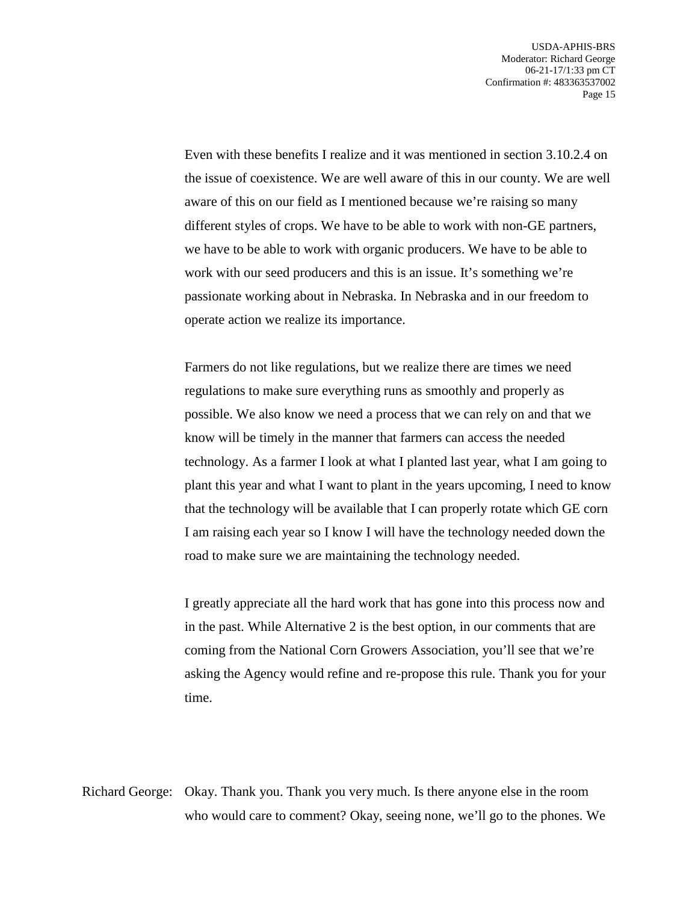Even with these benefits I realize and it was mentioned in section 3.10.2.4 on the issue of coexistence. We are well aware of this in our county. We are well aware of this on our field as I mentioned because we're raising so many different styles of crops. We have to be able to work with non-GE partners, we have to be able to work with organic producers. We have to be able to work with our seed producers and this is an issue. It's something we're passionate working about in Nebraska. In Nebraska and in our freedom to operate action we realize its importance.

Farmers do not like regulations, but we realize there are times we need regulations to make sure everything runs as smoothly and properly as possible. We also know we need a process that we can rely on and that we know will be timely in the manner that farmers can access the needed technology. As a farmer I look at what I planted last year, what I am going to plant this year and what I want to plant in the years upcoming, I need to know that the technology will be available that I can properly rotate which GE corn I am raising each year so I know I will have the technology needed down the road to make sure we are maintaining the technology needed.

I greatly appreciate all the hard work that has gone into this process now and in the past. While Alternative 2 is the best option, in our comments that are coming from the National Corn Growers Association, you'll see that we're asking the Agency would refine and re-propose this rule. Thank you for your time.

Richard George: Okay. Thank you. Thank you very much. Is there anyone else in the room who would care to comment? Okay, seeing none, we'll go to the phones. We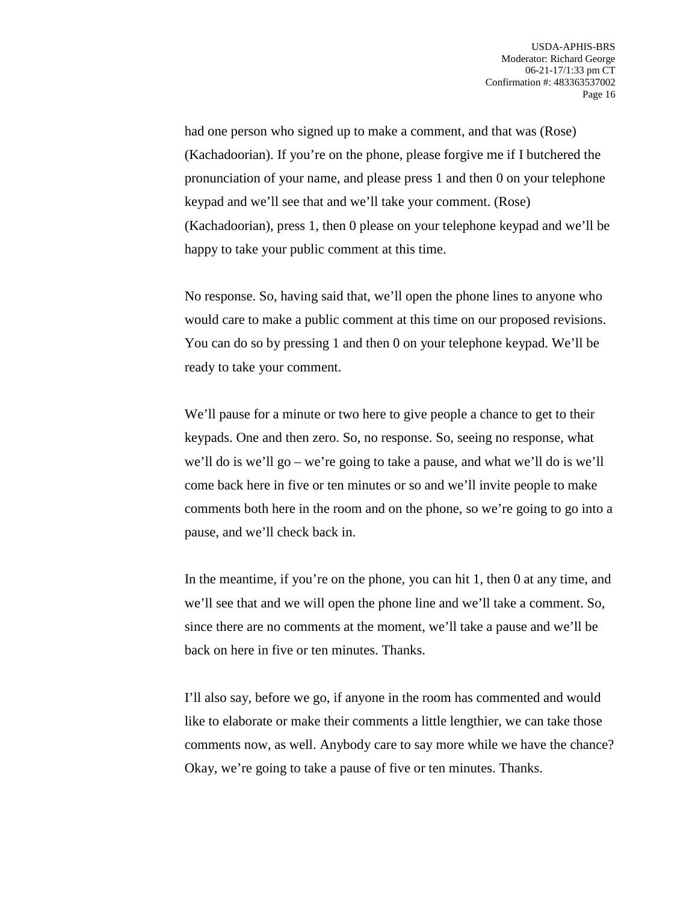had one person who signed up to make a comment, and that was (Rose) (Kachadoorian). If you're on the phone, please forgive me if I butchered the pronunciation of your name, and please press 1 and then 0 on your telephone keypad and we'll see that and we'll take your comment. (Rose) (Kachadoorian), press 1, then 0 please on your telephone keypad and we'll be happy to take your public comment at this time.

No response. So, having said that, we'll open the phone lines to anyone who would care to make a public comment at this time on our proposed revisions. You can do so by pressing 1 and then 0 on your telephone keypad. We'll be ready to take your comment.

We'll pause for a minute or two here to give people a chance to get to their keypads. One and then zero. So, no response. So, seeing no response, what we'll do is we'll go – we're going to take a pause, and what we'll do is we'll come back here in five or ten minutes or so and we'll invite people to make comments both here in the room and on the phone, so we're going to go into a pause, and we'll check back in.

In the meantime, if you're on the phone, you can hit 1, then 0 at any time, and we'll see that and we will open the phone line and we'll take a comment. So, since there are no comments at the moment, we'll take a pause and we'll be back on here in five or ten minutes. Thanks.

I'll also say, before we go, if anyone in the room has commented and would like to elaborate or make their comments a little lengthier, we can take those comments now, as well. Anybody care to say more while we have the chance? Okay, we're going to take a pause of five or ten minutes. Thanks.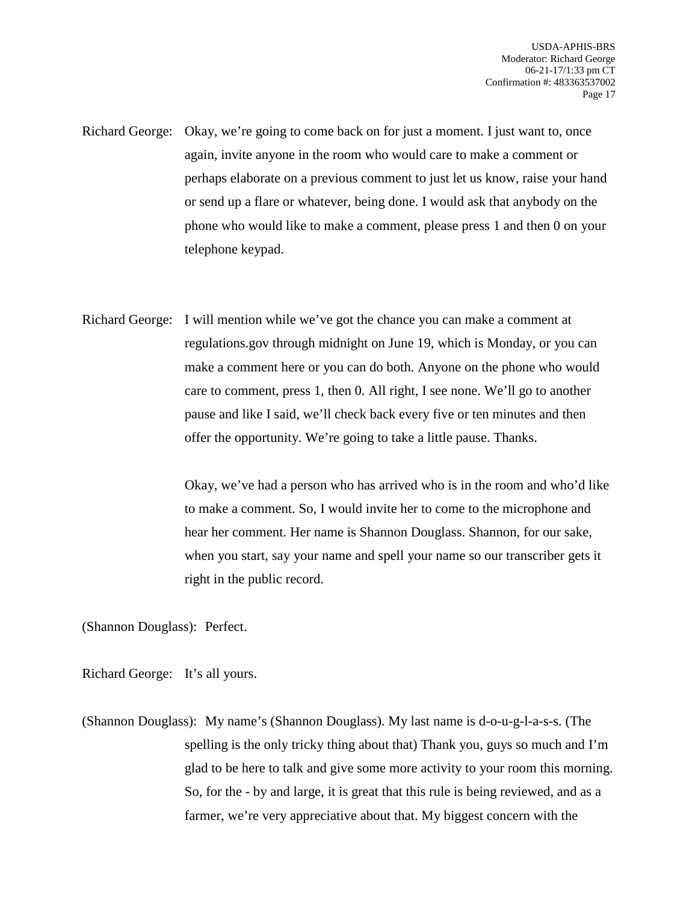Richard George: Okay, we're going to come back on for just a moment. I just want to, once again, invite anyone in the room who would care to make a comment or perhaps elaborate on a previous comment to just let us know, raise your hand or send up a flare or whatever, being done. I would ask that anybody on the phone who would like to make a comment, please press 1 and then 0 on your telephone keypad.

Richard George: I will mention while we've got the chance you can make a comment at regulations.gov through midnight on June 19, which is Monday, or you can make a comment here or you can do both. Anyone on the phone who would care to comment, press 1, then 0. All right, I see none. We'll go to another pause and like I said, we'll check back every five or ten minutes and then offer the opportunity. We're going to take a little pause. Thanks.

> Okay, we've had a person who has arrived who is in the room and who'd like to make a comment. So, I would invite her to come to the microphone and hear her comment. Her name is Shannon Douglass. Shannon, for our sake, when you start, say your name and spell your name so our transcriber gets it right in the public record.

(Shannon Douglass): Perfect.

Richard George: It's all yours.

(Shannon Douglass): My name's (Shannon Douglass). My last name is d-o-u-g-l-a-s-s. (The spelling is the only tricky thing about that) Thank you, guys so much and I'm glad to be here to talk and give some more activity to your room this morning. So, for the - by and large, it is great that this rule is being reviewed, and as a farmer, we're very appreciative about that. My biggest concern with the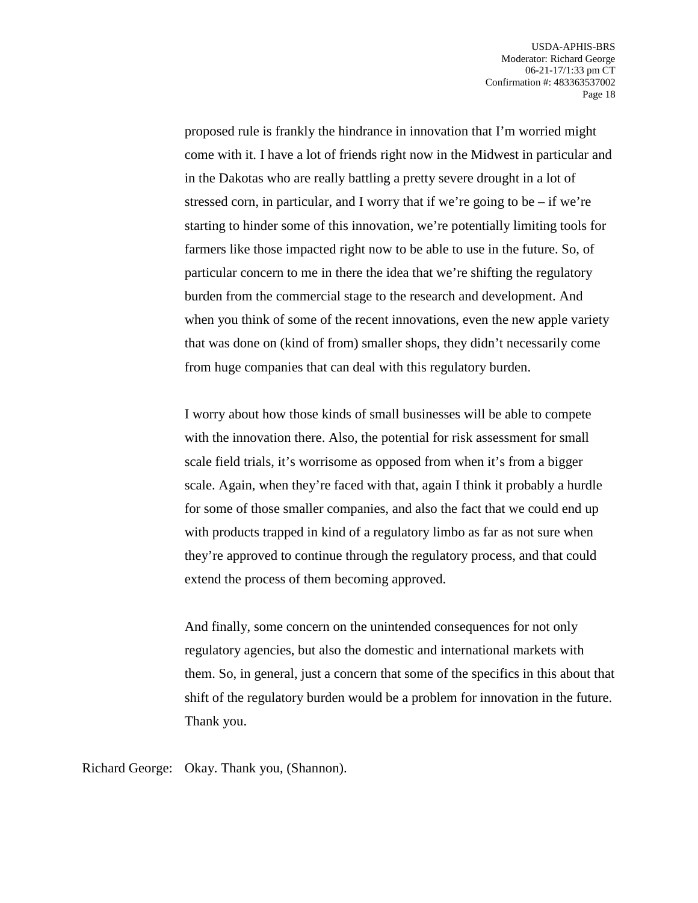proposed rule is frankly the hindrance in innovation that I'm worried might come with it. I have a lot of friends right now in the Midwest in particular and in the Dakotas who are really battling a pretty severe drought in a lot of stressed corn, in particular, and I worry that if we're going to be  $-$  if we're starting to hinder some of this innovation, we're potentially limiting tools for farmers like those impacted right now to be able to use in the future. So, of particular concern to me in there the idea that we're shifting the regulatory burden from the commercial stage to the research and development. And when you think of some of the recent innovations, even the new apple variety that was done on (kind of from) smaller shops, they didn't necessarily come from huge companies that can deal with this regulatory burden.

I worry about how those kinds of small businesses will be able to compete with the innovation there. Also, the potential for risk assessment for small scale field trials, it's worrisome as opposed from when it's from a bigger scale. Again, when they're faced with that, again I think it probably a hurdle for some of those smaller companies, and also the fact that we could end up with products trapped in kind of a regulatory limbo as far as not sure when they're approved to continue through the regulatory process, and that could extend the process of them becoming approved.

And finally, some concern on the unintended consequences for not only regulatory agencies, but also the domestic and international markets with them. So, in general, just a concern that some of the specifics in this about that shift of the regulatory burden would be a problem for innovation in the future. Thank you.

Richard George: Okay. Thank you, (Shannon).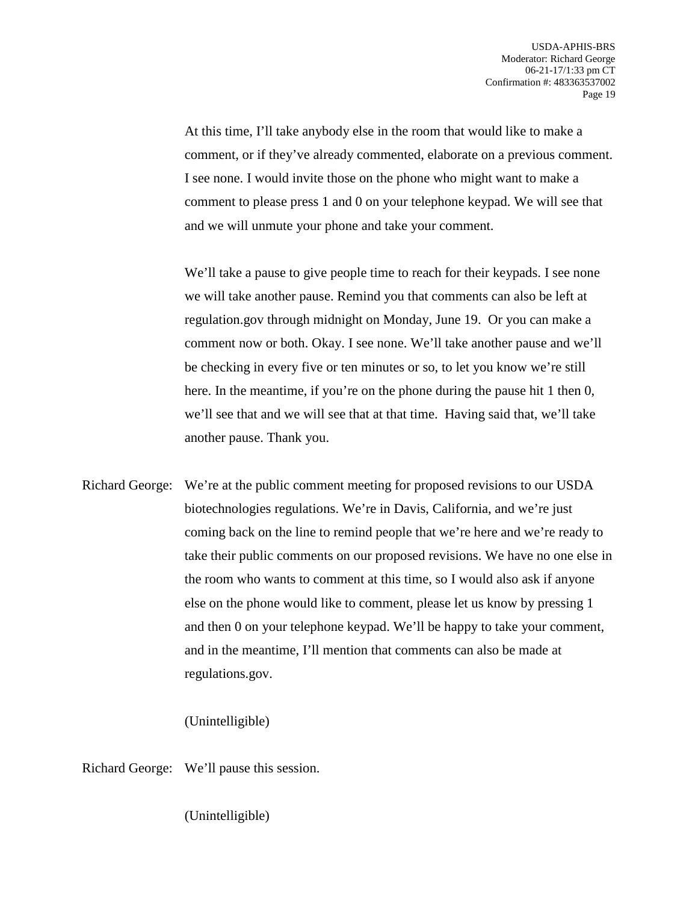At this time, I'll take anybody else in the room that would like to make a comment, or if they've already commented, elaborate on a previous comment. I see none. I would invite those on the phone who might want to make a comment to please press 1 and 0 on your telephone keypad. We will see that and we will unmute your phone and take your comment.

We'll take a pause to give people time to reach for their keypads. I see none we will take another pause. Remind you that comments can also be left at regulation.gov through midnight on Monday, June 19. Or you can make a comment now or both. Okay. I see none. We'll take another pause and we'll be checking in every five or ten minutes or so, to let you know we're still here. In the meantime, if you're on the phone during the pause hit 1 then 0, we'll see that and we will see that at that time. Having said that, we'll take another pause. Thank you.

Richard George: We're at the public comment meeting for proposed revisions to our USDA biotechnologies regulations. We're in Davis, California, and we're just coming back on the line to remind people that we're here and we're ready to take their public comments on our proposed revisions. We have no one else in the room who wants to comment at this time, so I would also ask if anyone else on the phone would like to comment, please let us know by pressing 1 and then 0 on your telephone keypad. We'll be happy to take your comment, and in the meantime, I'll mention that comments can also be made at regulations.gov.

## (Unintelligible)

Richard George: We'll pause this session.

(Unintelligible)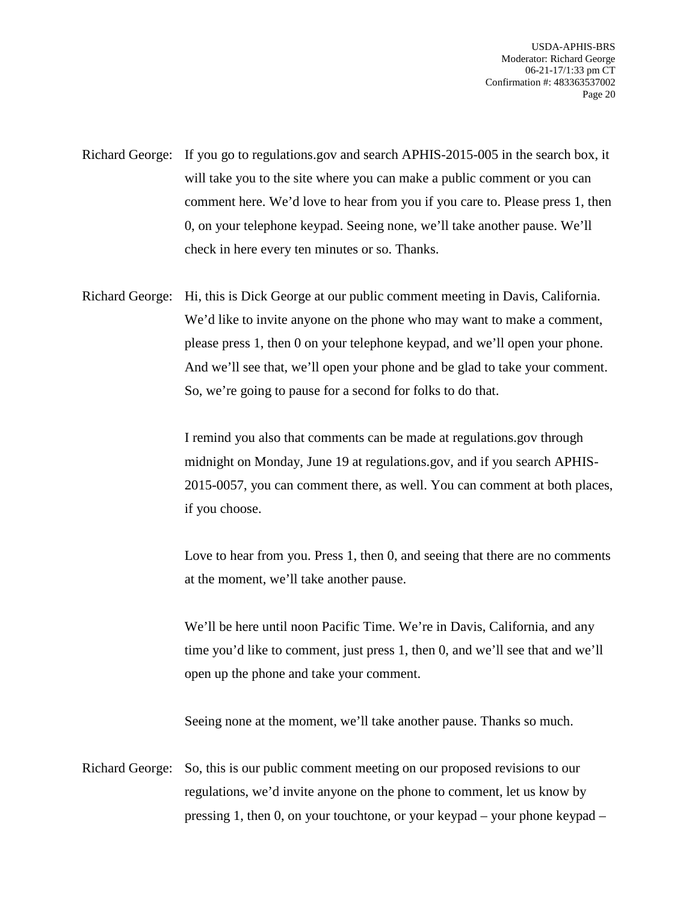- Richard George: If you go to regulations.gov and search APHIS-2015-005 in the search box, it will take you to the site where you can make a public comment or you can comment here. We'd love to hear from you if you care to. Please press 1, then 0, on your telephone keypad. Seeing none, we'll take another pause. We'll check in here every ten minutes or so. Thanks.
- Richard George: Hi, this is Dick George at our public comment meeting in Davis, California. We'd like to invite anyone on the phone who may want to make a comment, please press 1, then 0 on your telephone keypad, and we'll open your phone. And we'll see that, we'll open your phone and be glad to take your comment. So, we're going to pause for a second for folks to do that.

I remind you also that comments can be made at regulations.gov through midnight on Monday, June 19 at regulations.gov, and if you search APHIS-2015-0057, you can comment there, as well. You can comment at both places, if you choose.

Love to hear from you. Press 1, then 0, and seeing that there are no comments at the moment, we'll take another pause.

We'll be here until noon Pacific Time. We're in Davis, California, and any time you'd like to comment, just press 1, then 0, and we'll see that and we'll open up the phone and take your comment.

Seeing none at the moment, we'll take another pause. Thanks so much.

Richard George: So, this is our public comment meeting on our proposed revisions to our regulations, we'd invite anyone on the phone to comment, let us know by pressing 1, then 0, on your touchtone, or your keypad – your phone keypad –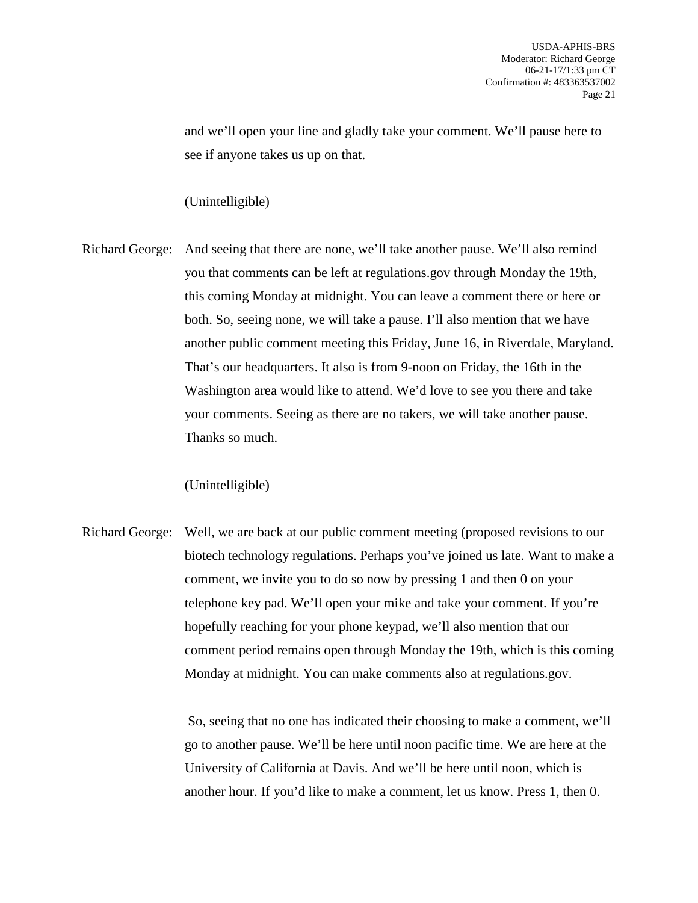and we'll open your line and gladly take your comment. We'll pause here to see if anyone takes us up on that.

## (Unintelligible)

Richard George: And seeing that there are none, we'll take another pause. We'll also remind you that comments can be left at regulations.gov through Monday the 19th, this coming Monday at midnight. You can leave a comment there or here or both. So, seeing none, we will take a pause. I'll also mention that we have another public comment meeting this Friday, June 16, in Riverdale, Maryland. That's our headquarters. It also is from 9-noon on Friday, the 16th in the Washington area would like to attend. We'd love to see you there and take your comments. Seeing as there are no takers, we will take another pause. Thanks so much.

(Unintelligible)

Richard George: Well, we are back at our public comment meeting (proposed revisions to our biotech technology regulations. Perhaps you've joined us late. Want to make a comment, we invite you to do so now by pressing 1 and then 0 on your telephone key pad. We'll open your mike and take your comment. If you're hopefully reaching for your phone keypad, we'll also mention that our comment period remains open through Monday the 19th, which is this coming Monday at midnight. You can make comments also at regulations.gov.

> So, seeing that no one has indicated their choosing to make a comment, we'll go to another pause. We'll be here until noon pacific time. We are here at the University of California at Davis. And we'll be here until noon, which is another hour. If you'd like to make a comment, let us know. Press 1, then 0.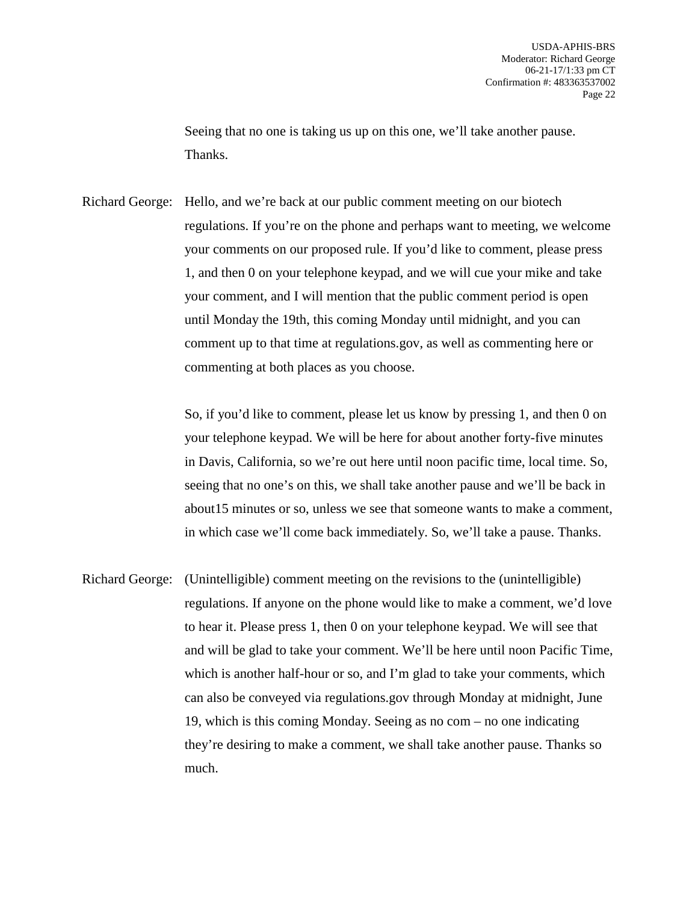Seeing that no one is taking us up on this one, we'll take another pause. Thanks.

Richard George: Hello, and we're back at our public comment meeting on our biotech regulations. If you're on the phone and perhaps want to meeting, we welcome your comments on our proposed rule. If you'd like to comment, please press 1, and then 0 on your telephone keypad, and we will cue your mike and take your comment, and I will mention that the public comment period is open until Monday the 19th, this coming Monday until midnight, and you can comment up to that time at regulations.gov, as well as commenting here or commenting at both places as you choose.

> So, if you'd like to comment, please let us know by pressing 1, and then 0 on your telephone keypad. We will be here for about another forty-five minutes in Davis, California, so we're out here until noon pacific time, local time. So, seeing that no one's on this, we shall take another pause and we'll be back in about15 minutes or so, unless we see that someone wants to make a comment, in which case we'll come back immediately. So, we'll take a pause. Thanks.

Richard George: (Unintelligible) comment meeting on the revisions to the (unintelligible) regulations. If anyone on the phone would like to make a comment, we'd love to hear it. Please press 1, then 0 on your telephone keypad. We will see that and will be glad to take your comment. We'll be here until noon Pacific Time, which is another half-hour or so, and I'm glad to take your comments, which can also be conveyed via regulations.gov through Monday at midnight, June 19, which is this coming Monday. Seeing as no com – no one indicating they're desiring to make a comment, we shall take another pause. Thanks so much.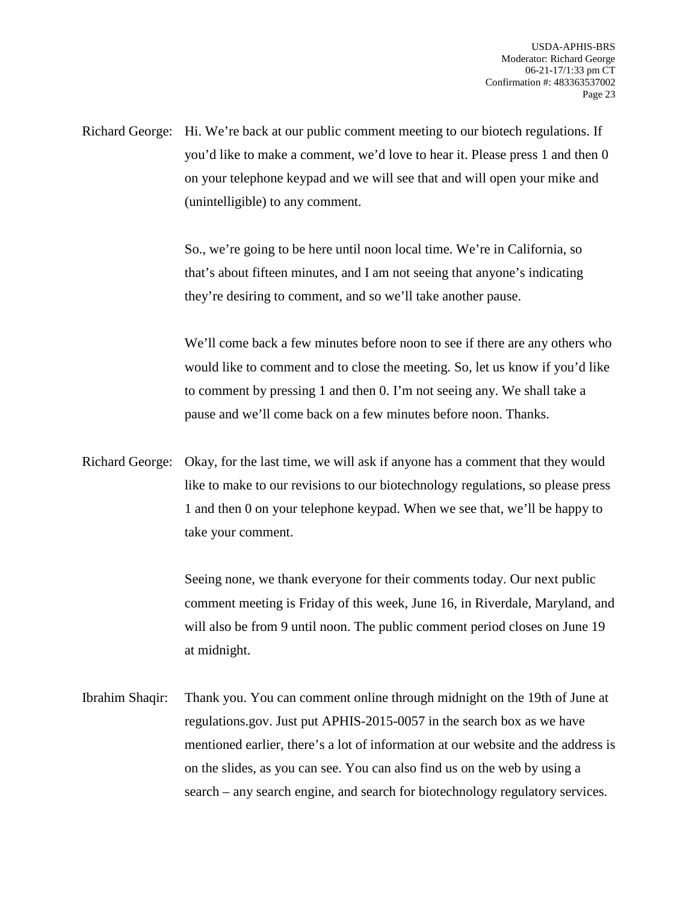Richard George: Hi. We're back at our public comment meeting to our biotech regulations. If you'd like to make a comment, we'd love to hear it. Please press 1 and then 0 on your telephone keypad and we will see that and will open your mike and (unintelligible) to any comment.

> So., we're going to be here until noon local time. We're in California, so that's about fifteen minutes, and I am not seeing that anyone's indicating they're desiring to comment, and so we'll take another pause.

We'll come back a few minutes before noon to see if there are any others who would like to comment and to close the meeting. So, let us know if you'd like to comment by pressing 1 and then 0. I'm not seeing any. We shall take a pause and we'll come back on a few minutes before noon. Thanks.

Richard George: Okay, for the last time, we will ask if anyone has a comment that they would like to make to our revisions to our biotechnology regulations, so please press 1 and then 0 on your telephone keypad. When we see that, we'll be happy to take your comment.

> Seeing none, we thank everyone for their comments today. Our next public comment meeting is Friday of this week, June 16, in Riverdale, Maryland, and will also be from 9 until noon. The public comment period closes on June 19 at midnight.

Ibrahim Shaqir: Thank you. You can comment online through midnight on the 19th of June at regulations.gov. Just put APHIS-2015-0057 in the search box as we have mentioned earlier, there's a lot of information at our website and the address is on the slides, as you can see. You can also find us on the web by using a search – any search engine, and search for biotechnology regulatory services.